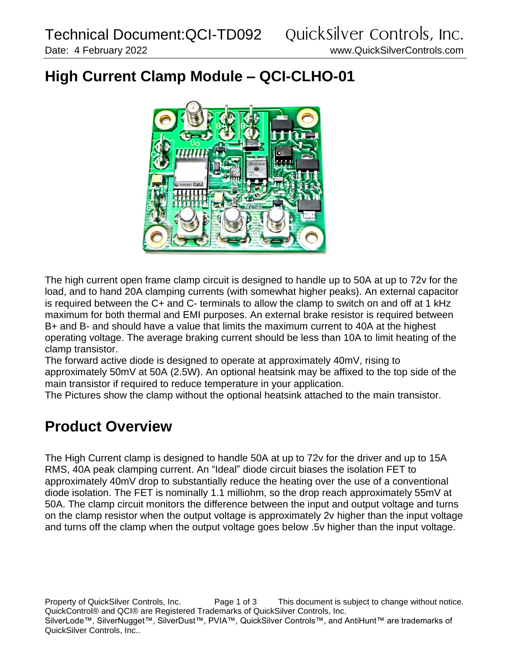## **High Current Clamp Module – QCI-CLHO-01**



The high current open frame clamp circuit is designed to handle up to 50A at up to 72v for the load, and to hand 20A clamping currents (with somewhat higher peaks). An external capacitor is required between the C+ and C- terminals to allow the clamp to switch on and off at 1 kHz maximum for both thermal and EMI purposes. An external brake resistor is required between B+ and B- and should have a value that limits the maximum current to 40A at the highest operating voltage. The average braking current should be less than 10A to limit heating of the clamp transistor.

The forward active diode is designed to operate at approximately 40mV, rising to approximately 50mV at 50A (2.5W). An optional heatsink may be affixed to the top side of the main transistor if required to reduce temperature in your application.

The Pictures show the clamp without the optional heatsink attached to the main transistor.

## **Product Overview**

The High Current clamp is designed to handle 50A at up to 72v for the driver and up to 15A RMS, 40A peak clamping current. An "Ideal" diode circuit biases the isolation FET to approximately 40mV drop to substantially reduce the heating over the use of a conventional diode isolation. The FET is nominally 1.1 milliohm, so the drop reach approximately 55mV at 50A. The clamp circuit monitors the difference between the input and output voltage and turns on the clamp resistor when the output voltage is approximately 2v higher than the input voltage and turns off the clamp when the output voltage goes below .5v higher than the input voltage.

Property of QuickSilver Controls, Inc. Page 1 of 3 This document is subject to change without notice. QuickControl® and QCI® are Registered Trademarks of QuickSilver Controls, Inc. SilverLode™, SilverNugget™, SilverDust™, PVIA™, QuickSilver Controls™, and AntiHunt™ are trademarks of QuickSilver Controls, Inc..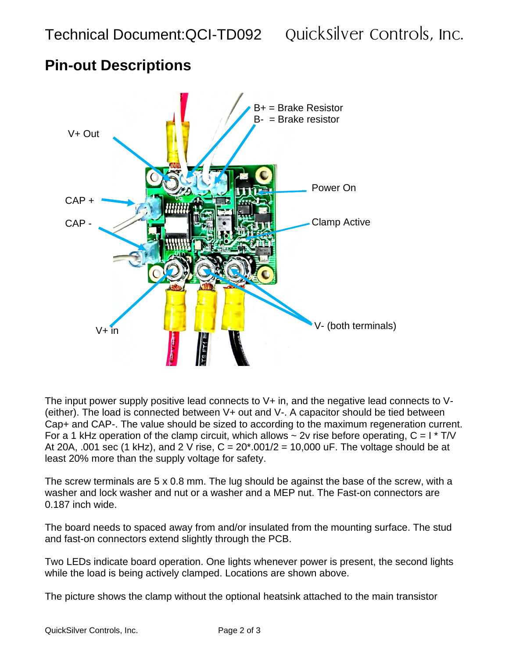## B+ = Brake Resistor  $B<sub>-</sub>$  = Brake resistor V+ Out Power On CAP + Clamp ActiveCAP -  $V+$  in  $V+$  in  $V+$  in  $V+$  (both terminals)  $S$  FT $\overline{1}$

**Pin-out Descriptions**

The input power supply positive lead connects to V+ in, and the negative lead connects to V- (either). The load is connected between V+ out and V-. A capacitor should be tied between Cap+ and CAP-. The value should be sized to according to the maximum regeneration current. For a 1 kHz operation of the clamp circuit, which allows  $\sim$  2v rise before operating, C = I  $\star$  T/V At 20A, .001 sec (1 kHz), and 2 V rise,  $C = 20*0.001/2 = 10,000$  uF. The voltage should be at least 20% more than the supply voltage for safety.

The screw terminals are 5 x 0.8 mm. The lug should be against the base of the screw, with a washer and lock washer and nut or a washer and a MEP nut. The Fast-on connectors are 0.187 inch wide.

The board needs to spaced away from and/or insulated from the mounting surface. The stud and fast-on connectors extend slightly through the PCB.

Two LEDs indicate board operation. One lights whenever power is present, the second lights while the load is being actively clamped. Locations are shown above.

The picture shows the clamp without the optional heatsink attached to the main transistor